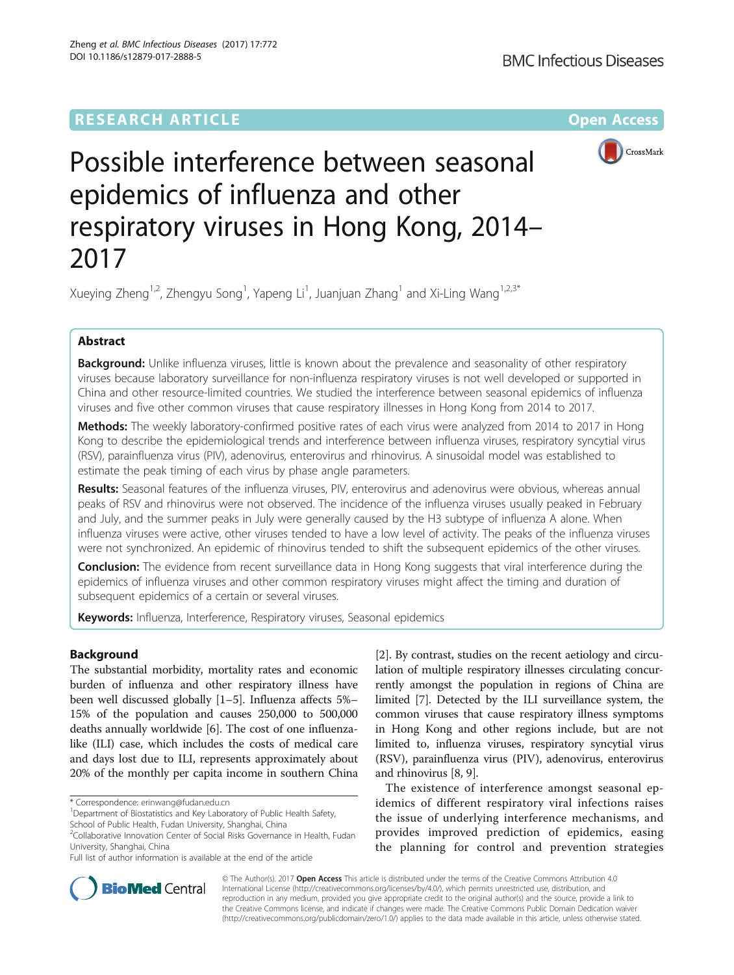# **RESEARCH ARTICLE Example 2014 12:30 The Contract of Contract ACCESS**



# Possible interference between seasonal epidemics of influenza and other respiratory viruses in Hong Kong, 2014– 2017

Xueying Zheng<sup>1,2</sup>, Zhengyu Song<sup>1</sup>, Yapeng Li<sup>1</sup>, Juanjuan Zhang<sup>1</sup> and Xi-Ling Wang<sup>1,2,3\*</sup>

## Abstract

Background: Unlike influenza viruses, little is known about the prevalence and seasonality of other respiratory viruses because laboratory surveillance for non-influenza respiratory viruses is not well developed or supported in China and other resource-limited countries. We studied the interference between seasonal epidemics of influenza viruses and five other common viruses that cause respiratory illnesses in Hong Kong from 2014 to 2017.

Methods: The weekly laboratory-confirmed positive rates of each virus were analyzed from 2014 to 2017 in Hong Kong to describe the epidemiological trends and interference between influenza viruses, respiratory syncytial virus (RSV), parainfluenza virus (PIV), adenovirus, enterovirus and rhinovirus. A sinusoidal model was established to estimate the peak timing of each virus by phase angle parameters.

Results: Seasonal features of the influenza viruses, PIV, enterovirus and adenovirus were obvious, whereas annual peaks of RSV and rhinovirus were not observed. The incidence of the influenza viruses usually peaked in February and July, and the summer peaks in July were generally caused by the H3 subtype of influenza A alone. When influenza viruses were active, other viruses tended to have a low level of activity. The peaks of the influenza viruses were not synchronized. An epidemic of rhinovirus tended to shift the subsequent epidemics of the other viruses.

Conclusion: The evidence from recent surveillance data in Hong Kong suggests that viral interference during the epidemics of influenza viruses and other common respiratory viruses might affect the timing and duration of subsequent epidemics of a certain or several viruses.

Keywords: Influenza, Interference, Respiratory viruses, Seasonal epidemics

### Background

The substantial morbidity, mortality rates and economic burden of influenza and other respiratory illness have been well discussed globally [\[1](#page-6-0)–[5\]](#page-6-0). Influenza affects 5%– 15% of the population and causes 250,000 to 500,000 deaths annually worldwide [\[6](#page-6-0)]. The cost of one influenzalike (ILI) case, which includes the costs of medical care and days lost due to ILI, represents approximately about 20% of the monthly per capita income in southern China

School of Public Health, Fudan University, Shanghai, China

Full list of author information is available at the end of the article

[[2\]](#page-6-0). By contrast, studies on the recent aetiology and circulation of multiple respiratory illnesses circulating concurrently amongst the population in regions of China are limited [\[7\]](#page-6-0). Detected by the ILI surveillance system, the common viruses that cause respiratory illness symptoms in Hong Kong and other regions include, but are not limited to, influenza viruses, respiratory syncytial virus (RSV), parainfluenza virus (PIV), adenovirus, enterovirus and rhinovirus [[8, 9](#page-6-0)].

The existence of interference amongst seasonal epidemics of different respiratory viral infections raises the issue of underlying interference mechanisms, and provides improved prediction of epidemics, easing the planning for control and prevention strategies



© The Author(s). 2017 **Open Access** This article is distributed under the terms of the Creative Commons Attribution 4.0 International License [\(http://creativecommons.org/licenses/by/4.0/](http://creativecommons.org/licenses/by/4.0/)), which permits unrestricted use, distribution, and reproduction in any medium, provided you give appropriate credit to the original author(s) and the source, provide a link to the Creative Commons license, and indicate if changes were made. The Creative Commons Public Domain Dedication waiver [\(http://creativecommons.org/publicdomain/zero/1.0/](http://creativecommons.org/publicdomain/zero/1.0/)) applies to the data made available in this article, unless otherwise stated.

<sup>\*</sup> Correspondence: [erinwang@fudan.edu.cn](mailto:erinwang@fudan.edu.cn) <sup>1</sup>

<sup>&</sup>lt;sup>1</sup>Department of Biostatistics and Key Laboratory of Public Health Safety,

<sup>&</sup>lt;sup>2</sup>Collaborative Innovation Center of Social Risks Governance in Health, Fudan University, Shanghai, China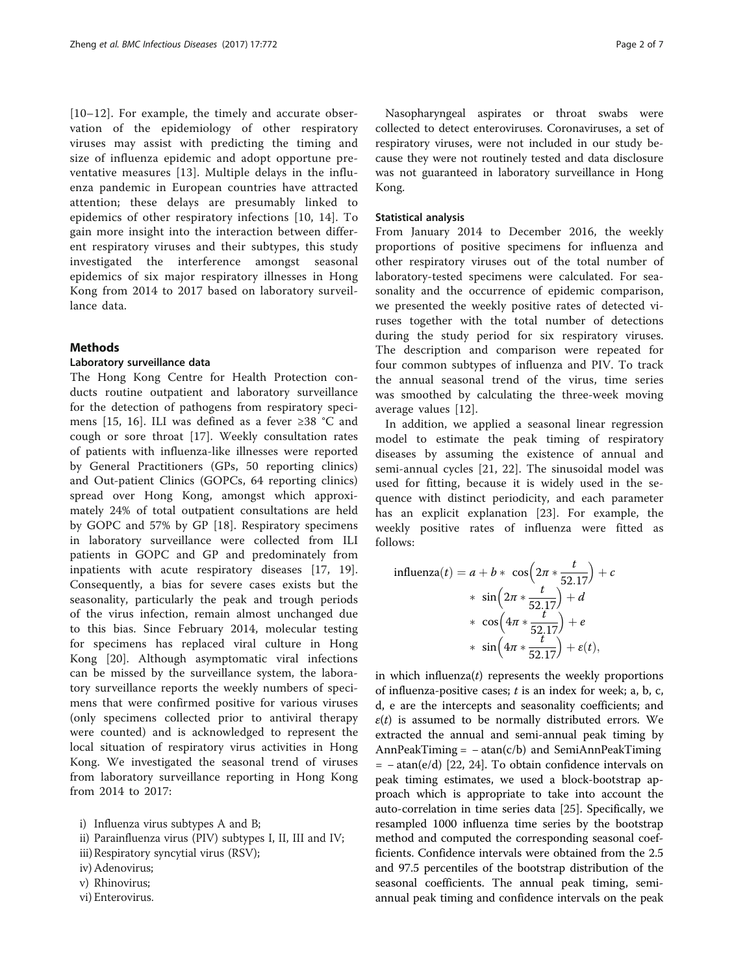[[10](#page-6-0)–[12\]](#page-6-0). For example, the timely and accurate observation of the epidemiology of other respiratory viruses may assist with predicting the timing and size of influenza epidemic and adopt opportune preventative measures [\[13](#page-6-0)]. Multiple delays in the influenza pandemic in European countries have attracted attention; these delays are presumably linked to epidemics of other respiratory infections [[10](#page-6-0), [14\]](#page-6-0). To gain more insight into the interaction between different respiratory viruses and their subtypes, this study investigated the interference amongst seasonal epidemics of six major respiratory illnesses in Hong Kong from 2014 to 2017 based on laboratory surveillance data.

#### Methods

#### Laboratory surveillance data

The Hong Kong Centre for Health Protection conducts routine outpatient and laboratory surveillance for the detection of pathogens from respiratory specimens [[15](#page-6-0), [16](#page-6-0)]. ILI was defined as a fever ≥38 °C and cough or sore throat [\[17](#page-6-0)]. Weekly consultation rates of patients with influenza-like illnesses were reported by General Practitioners (GPs, 50 reporting clinics) and Out-patient Clinics (GOPCs, 64 reporting clinics) spread over Hong Kong, amongst which approximately 24% of total outpatient consultations are held by GOPC and 57% by GP [[18\]](#page-6-0). Respiratory specimens in laboratory surveillance were collected from ILI patients in GOPC and GP and predominately from inpatients with acute respiratory diseases [[17, 19](#page-6-0)]. Consequently, a bias for severe cases exists but the seasonality, particularly the peak and trough periods of the virus infection, remain almost unchanged due to this bias. Since February 2014, molecular testing for specimens has replaced viral culture in Hong Kong [\[20](#page-6-0)]. Although asymptomatic viral infections can be missed by the surveillance system, the laboratory surveillance reports the weekly numbers of specimens that were confirmed positive for various viruses (only specimens collected prior to antiviral therapy were counted) and is acknowledged to represent the local situation of respiratory virus activities in Hong Kong. We investigated the seasonal trend of viruses from laboratory surveillance reporting in Hong Kong from 2014 to 2017:

i) Influenza virus subtypes A and B;

- ii) Parainfluenza virus (PIV) subtypes I, II, III and IV;
- iii)Respiratory syncytial virus (RSV);
- iv) Adenovirus;
- v) Rhinovirus;
- vi) Enterovirus.

Nasopharyngeal aspirates or throat swabs were collected to detect enteroviruses. Coronaviruses, a set of respiratory viruses, were not included in our study because they were not routinely tested and data disclosure was not guaranteed in laboratory surveillance in Hong Kong.

#### Statistical analysis

From January 2014 to December 2016, the weekly proportions of positive specimens for influenza and other respiratory viruses out of the total number of laboratory-tested specimens were calculated. For seasonality and the occurrence of epidemic comparison, we presented the weekly positive rates of detected viruses together with the total number of detections during the study period for six respiratory viruses. The description and comparison were repeated for four common subtypes of influenza and PIV. To track the annual seasonal trend of the virus, time series was smoothed by calculating the three-week moving average values [\[12](#page-6-0)].

In addition, we applied a seasonal linear regression model to estimate the peak timing of respiratory diseases by assuming the existence of annual and semi-annual cycles [\[21](#page-6-0), [22\]](#page-6-0). The sinusoidal model was used for fitting, because it is widely used in the sequence with distinct periodicity, and each parameter has an explicit explanation [\[23](#page-6-0)]. For example, the weekly positive rates of influenza were fitted as follows:

influenza(t) = 
$$
a + b * cos(2\pi * \frac{t}{52.17}) + c
$$
  
\n
$$
* sin(2\pi * \frac{t}{52.17}) + d
$$
\n
$$
* cos(4\pi * \frac{t}{52.17}) + e
$$
\n
$$
* sin(4\pi * \frac{t}{52.17}) + e(t),
$$

in which influenza $(t)$  represents the weekly proportions of influenza-positive cases;  $t$  is an index for week; a, b, c, d, e are the intercepts and seasonality coefficients; and  $\varepsilon(t)$  is assumed to be normally distributed errors. We extracted the annual and semi-annual peak timing by AnnPeakTiming =  $-\arctan(c/b)$  and SemiAnnPeakTiming = − atan(e/d) [\[22](#page-6-0), [24](#page-6-0)]. To obtain confidence intervals on peak timing estimates, we used a block-bootstrap approach which is appropriate to take into account the auto-correlation in time series data [[25](#page-6-0)]. Specifically, we resampled 1000 influenza time series by the bootstrap method and computed the corresponding seasonal coefficients. Confidence intervals were obtained from the 2.5 and 97.5 percentiles of the bootstrap distribution of the seasonal coefficients. The annual peak timing, semiannual peak timing and confidence intervals on the peak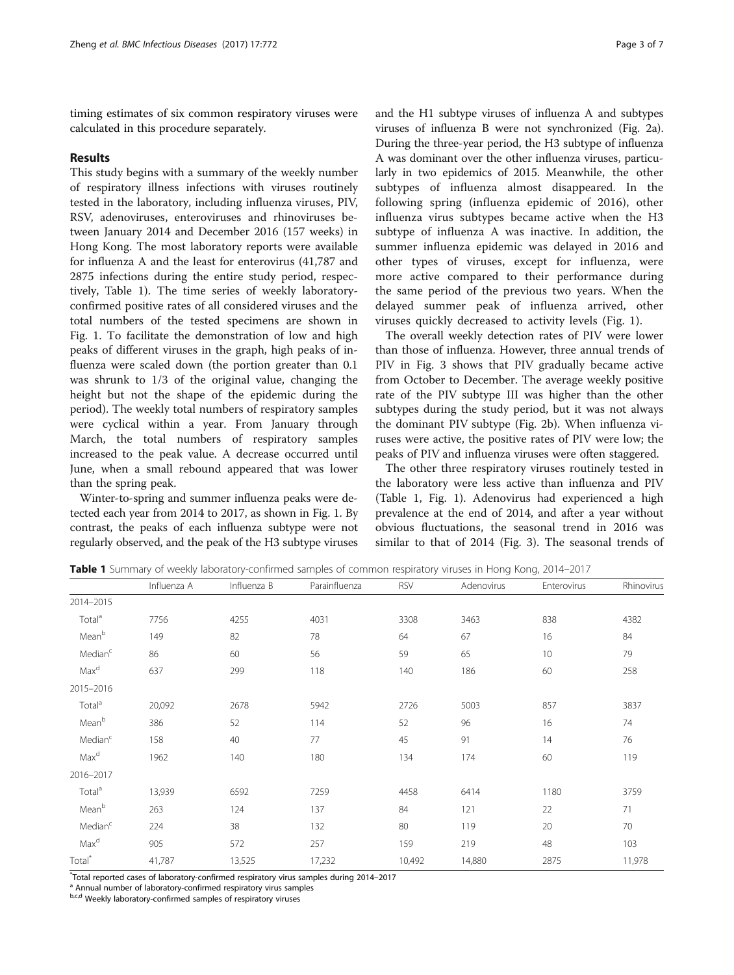timing estimates of six common respiratory viruses were calculated in this procedure separately.

#### Results

This study begins with a summary of the weekly number of respiratory illness infections with viruses routinely tested in the laboratory, including influenza viruses, PIV, RSV, adenoviruses, enteroviruses and rhinoviruses between January 2014 and December 2016 (157 weeks) in Hong Kong. The most laboratory reports were available for influenza A and the least for enterovirus (41,787 and 2875 infections during the entire study period, respectively, Table 1). The time series of weekly laboratoryconfirmed positive rates of all considered viruses and the total numbers of the tested specimens are shown in Fig. [1](#page-3-0). To facilitate the demonstration of low and high peaks of different viruses in the graph, high peaks of influenza were scaled down (the portion greater than 0.1 was shrunk to 1/3 of the original value, changing the height but not the shape of the epidemic during the period). The weekly total numbers of respiratory samples were cyclical within a year. From January through March, the total numbers of respiratory samples increased to the peak value. A decrease occurred until June, when a small rebound appeared that was lower than the spring peak.

Winter-to-spring and summer influenza peaks were detected each year from 2014 to 2017, as shown in Fig. [1.](#page-3-0) By contrast, the peaks of each influenza subtype were not regularly observed, and the peak of the H3 subtype viruses

and the H1 subtype viruses of influenza A and subtypes viruses of influenza B were not synchronized (Fig. [2a](#page-3-0)). During the three-year period, the H3 subtype of influenza A was dominant over the other influenza viruses, particularly in two epidemics of 2015. Meanwhile, the other subtypes of influenza almost disappeared. In the following spring (influenza epidemic of 2016), other influenza virus subtypes became active when the H3 subtype of influenza A was inactive. In addition, the summer influenza epidemic was delayed in 2016 and other types of viruses, except for influenza, were more active compared to their performance during the same period of the previous two years. When the delayed summer peak of influenza arrived, other viruses quickly decreased to activity levels (Fig. [1](#page-3-0)).

The overall weekly detection rates of PIV were lower than those of influenza. However, three annual trends of PIV in Fig. [3](#page-4-0) shows that PIV gradually became active from October to December. The average weekly positive rate of the PIV subtype III was higher than the other subtypes during the study period, but it was not always the dominant PIV subtype (Fig. [2b](#page-3-0)). When influenza viruses were active, the positive rates of PIV were low; the peaks of PIV and influenza viruses were often staggered.

The other three respiratory viruses routinely tested in the laboratory were less active than influenza and PIV (Table 1, Fig. [1\)](#page-3-0). Adenovirus had experienced a high prevalence at the end of 2014, and after a year without obvious fluctuations, the seasonal trend in 2016 was similar to that of 2014 (Fig. [3\)](#page-4-0). The seasonal trends of

|  |  |  | Table 1 Summary of weekly laboratory-confirmed samples of common respiratory viruses in Hong Kong, 2014–2017 |  |  |  |  |  |  |  |
|--|--|--|--------------------------------------------------------------------------------------------------------------|--|--|--|--|--|--|--|
|--|--|--|--------------------------------------------------------------------------------------------------------------|--|--|--|--|--|--|--|

|                     | Influenza A | Influenza B | Parainfluenza | <b>RSV</b> | Adenovirus | Enterovirus | Rhinovirus |
|---------------------|-------------|-------------|---------------|------------|------------|-------------|------------|
| 2014-2015           |             |             |               |            |            |             |            |
| Total <sup>a</sup>  | 7756        | 4255        | 4031          | 3308       | 3463       | 838         | 4382       |
| Meanb               | 149         | 82          | 78            | 64         | 67         | 16          | 84         |
| Median <sup>c</sup> | 86          | 60          | 56            | 59         | 65         | 10          | 79         |
| Max <sup>d</sup>    | 637         | 299         | 118           | 140        | 186        | 60          | 258        |
| 2015-2016           |             |             |               |            |            |             |            |
| Total <sup>a</sup>  | 20,092      | 2678        | 5942          | 2726       | 5003       | 857         | 3837       |
| Meanb               | 386         | 52          | 114           | 52         | 96         | 16          | 74         |
| Median <sup>c</sup> | 158         | 40          | 77            | 45         | 91         | 14          | 76         |
| Max <sup>d</sup>    | 1962        | 140         | 180           | 134        | 174        | 60          | 119        |
| 2016-2017           |             |             |               |            |            |             |            |
| Total <sup>a</sup>  | 13,939      | 6592        | 7259          | 4458       | 6414       | 1180        | 3759       |
| Meanb               | 263         | 124         | 137           | 84         | 121        | 22          | 71         |
| Median <sup>c</sup> | 224         | 38          | 132           | 80         | 119        | 20          | 70         |
| Max <sup>d</sup>    | 905         | 572         | 257           | 159        | 219        | 48          | 103        |
| Total <sup>*</sup>  | 41,787      | 13,525      | 17,232        | 10,492     | 14,880     | 2875        | 11,978     |

\*Total reported cases of laboratory-confirmed respiratory virus samples during 2014–2017<br><sup>a</sup> Annual number of laboratory-confirmed respiratory virus samples

b,c,d Weekly laboratory-confirmed samples of respiratory viruses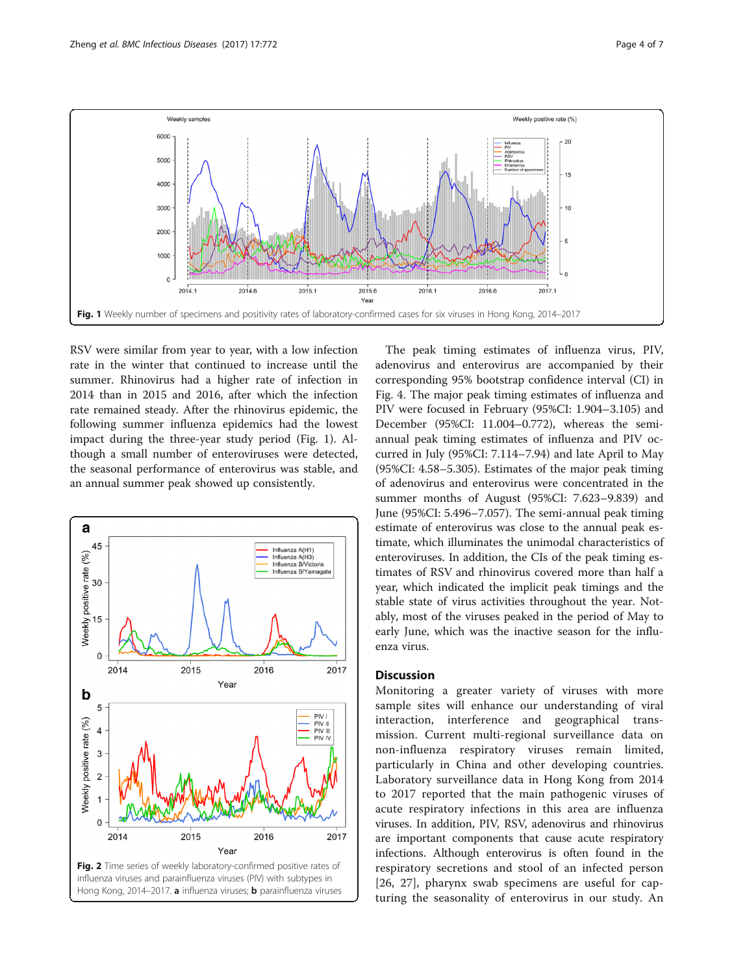<span id="page-3-0"></span>

RSV were similar from year to year, with a low infection rate in the winter that continued to increase until the summer. Rhinovirus had a higher rate of infection in 2014 than in 2015 and 2016, after which the infection rate remained steady. After the rhinovirus epidemic, the following summer influenza epidemics had the lowest impact during the three-year study period (Fig. 1). Although a small number of enteroviruses were detected, the seasonal performance of enterovirus was stable, and an annual summer peak showed up consistently.



The peak timing estimates of influenza virus, PIV, adenovirus and enterovirus are accompanied by their corresponding 95% bootstrap confidence interval (CI) in Fig. [4](#page-4-0). The major peak timing estimates of influenza and PIV were focused in February (95%CI: 1.904–3.105) and December (95%CI: 11.004–0.772), whereas the semiannual peak timing estimates of influenza and PIV occurred in July (95%CI: 7.114–7.94) and late April to May (95%CI: 4.58–5.305). Estimates of the major peak timing of adenovirus and enterovirus were concentrated in the summer months of August (95%CI: 7.623–9.839) and June (95%CI: 5.496–7.057). The semi-annual peak timing estimate of enterovirus was close to the annual peak estimate, which illuminates the unimodal characteristics of enteroviruses. In addition, the CIs of the peak timing estimates of RSV and rhinovirus covered more than half a year, which indicated the implicit peak timings and the stable state of virus activities throughout the year. Notably, most of the viruses peaked in the period of May to early June, which was the inactive season for the influenza virus.

#### **Discussion**

Monitoring a greater variety of viruses with more sample sites will enhance our understanding of viral interaction, interference and geographical transmission. Current multi-regional surveillance data on non-influenza respiratory viruses remain limited, particularly in China and other developing countries. Laboratory surveillance data in Hong Kong from 2014 to 2017 reported that the main pathogenic viruses of acute respiratory infections in this area are influenza viruses. In addition, PIV, RSV, adenovirus and rhinovirus are important components that cause acute respiratory infections. Although enterovirus is often found in the respiratory secretions and stool of an infected person [[26, 27\]](#page-6-0), pharynx swab specimens are useful for capturing the seasonality of enterovirus in our study. An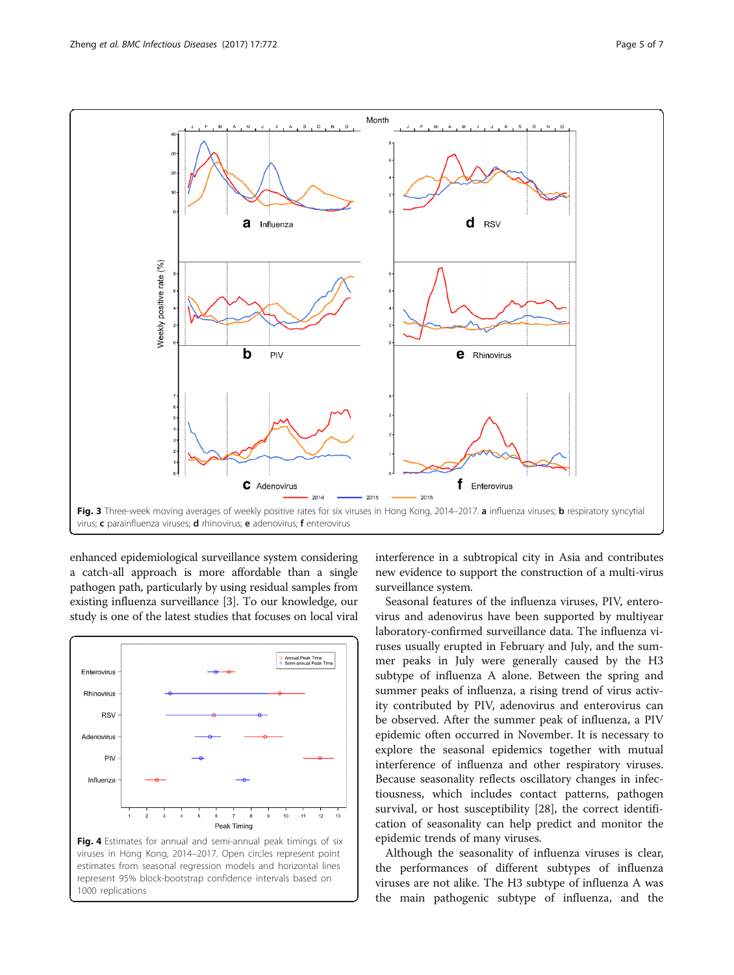<span id="page-4-0"></span>

enhanced epidemiological surveillance system considering a catch-all approach is more affordable than a single pathogen path, particularly by using residual samples from existing influenza surveillance [[3\]](#page-6-0). To our knowledge, our study is one of the latest studies that focuses on local viral



interference in a subtropical city in Asia and contributes new evidence to support the construction of a multi-virus surveillance system.

Seasonal features of the influenza viruses, PIV, enterovirus and adenovirus have been supported by multiyear laboratory-confirmed surveillance data. The influenza viruses usually erupted in February and July, and the summer peaks in July were generally caused by the H3 subtype of influenza A alone. Between the spring and summer peaks of influenza, a rising trend of virus activity contributed by PIV, adenovirus and enterovirus can be observed. After the summer peak of influenza, a PIV epidemic often occurred in November. It is necessary to explore the seasonal epidemics together with [mutual](http://cn.bing.com/dict/search?q=mutual&FORM=BDVSP6&mkt=zh-cn) [interference](http://cn.bing.com/dict/search?q=interference&FORM=BDVSP6&mkt=zh-cn) of influenza and other respiratory viruses. Because seasonality reflects oscillatory changes in infectiousness, which includes contact patterns, pathogen survival, or host susceptibility [[28\]](#page-6-0), the correct identification of seasonality can help predict and monitor the epidemic trends of many viruses.

Although the seasonality of influenza viruses is clear, the performances of different subtypes of influenza viruses are not alike. The H3 subtype of influenza A was the main pathogenic subtype of influenza, and the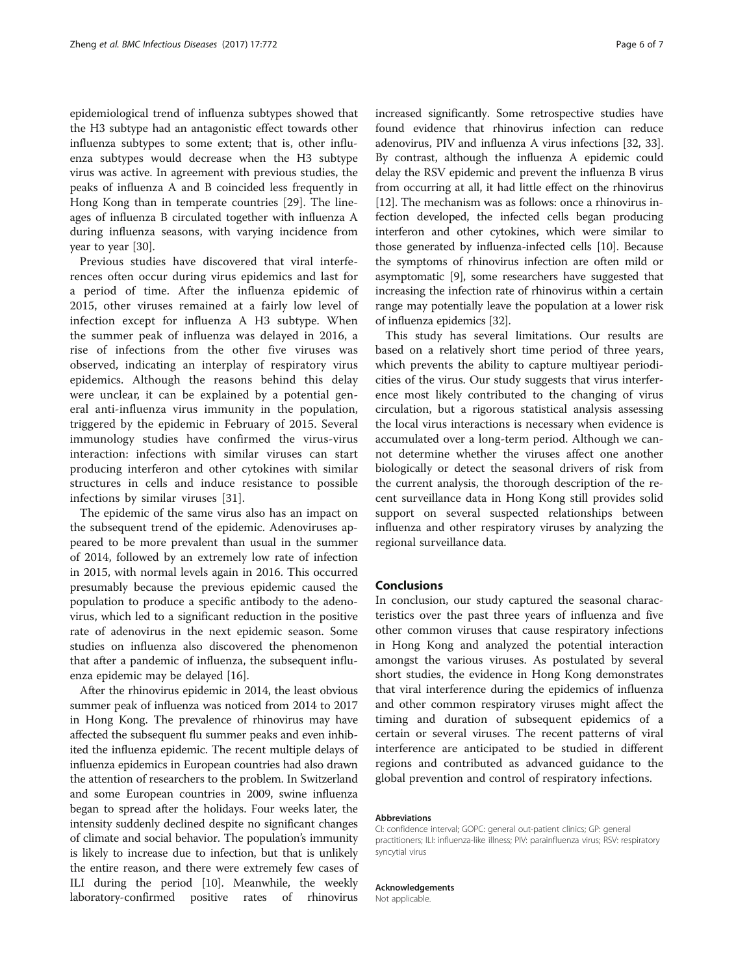epidemiological trend of influenza subtypes showed that the H3 subtype had an antagonistic effect towards other influenza subtypes to some extent; that is, other influenza subtypes would decrease when the H3 subtype virus was active. In agreement with previous studies, the peaks of influenza A and B coincided less frequently in Hong Kong than in temperate countries [[29\]](#page-6-0). The lineages of influenza B circulated together with influenza A during influenza seasons, with varying incidence from year to year [[30\]](#page-6-0).

Previous studies have discovered that viral interferences often occur during virus epidemics and last for a period of time. After the influenza epidemic of 2015, other viruses remained at a fairly low level of infection except for influenza A H3 subtype. When the summer peak of influenza was delayed in 2016, a rise of infections from the other five viruses was observed, indicating an interplay of respiratory virus epidemics. Although the reasons behind this delay were unclear, it can be explained by a potential general anti-influenza virus immunity in the population, triggered by the epidemic in February of 2015. Several immunology studies have confirmed the virus-virus interaction: infections with similar viruses can start producing interferon and other cytokines with similar structures in cells and induce resistance to possible infections by similar viruses [\[31](#page-6-0)].

The epidemic of the same virus also has an impact on the subsequent trend of the epidemic. Adenoviruses appeared to be more prevalent than usual in the summer of 2014, followed by an extremely low rate of infection in 2015, with normal levels again in 2016. This occurred presumably because the previous epidemic caused the population to produce a specific antibody to the adenovirus, which led to a significant reduction in the positive rate of adenovirus in the next epidemic season. Some studies on influenza also discovered the phenomenon that after a pandemic of influenza, the subsequent influenza epidemic may be delayed [\[16\]](#page-6-0).

After the rhinovirus epidemic in 2014, the least obvious summer peak of influenza was noticed from 2014 to 2017 in Hong Kong. The prevalence of rhinovirus may have affected the subsequent flu summer peaks and even inhibited the influenza epidemic. The recent multiple delays of influenza epidemics in European countries had also drawn the attention of researchers to the problem. In Switzerland and some European countries in 2009, swine influenza began to spread after the holidays. Four weeks later, the intensity suddenly declined despite no significant changes of climate and social behavior. The population's immunity is likely to increase due to infection, but that is unlikely the entire reason, and there were extremely few cases of ILI during the period [[10](#page-6-0)]. Meanwhile, the weekly laboratory-confirmed positive rates of rhinovirus increased significantly. Some retrospective studies have found evidence that rhinovirus infection can reduce adenovirus, PIV and influenza A virus infections [[32](#page-6-0), [33](#page-6-0)]. By contrast, although the influenza A epidemic could delay the RSV epidemic and prevent the influenza B virus from occurring at all, it had little effect on the rhinovirus [[12](#page-6-0)]. The mechanism was as follows: once a rhinovirus infection developed, the infected cells began producing interferon and other cytokines, which were similar to those generated by influenza-infected cells [[10](#page-6-0)]. Because the symptoms of rhinovirus infection are often mild or asymptomatic [\[9](#page-6-0)], some researchers have suggested that increasing the infection rate of rhinovirus within a certain range may potentially leave the population at a lower risk of influenza epidemics [[32\]](#page-6-0).

This study has several limitations. Our results are based on a relatively short time period of three years, which prevents the ability to capture multiyear periodicities of the virus. Our study suggests that virus interference most likely contributed to the changing of virus circulation, but a rigorous statistical analysis assessing the local virus interactions is necessary when evidence is accumulated over a long-term period. Although we cannot determine whether the viruses affect one another biologically or detect the seasonal drivers of risk from the current analysis, the thorough description of the recent surveillance data in Hong Kong still provides solid support on several suspected relationships between influenza and other respiratory viruses by analyzing the regional surveillance data.

#### Conclusions

In conclusion, our study captured the seasonal characteristics over the past three years of influenza and five other common viruses that cause respiratory infections in Hong Kong and analyzed the potential interaction amongst the various viruses. As postulated by several short studies, the evidence in Hong Kong demonstrates that viral interference during the epidemics of influenza and other common respiratory viruses might affect the timing and duration of subsequent epidemics of a certain or several viruses. The recent patterns of viral interference are anticipated to be studied in different regions and contributed as advanced [guidance](http://cn.bing.com/dict/search?q=guidance&FORM=BDVSP6&mkt=zh-cn) to the [global](http://cn.bing.com/dict/search?q=global&FORM=BDVSP6&mkt=zh-cn) [prevention and control](http://cn.bing.com/dict/search?q=prevention%20and%20control&FORM=BDVSP6&mkt=zh-cn) of [respiratory](http://cn.bing.com/dict/search?q=respiratory&FORM=BDVSP6&mkt=zh-cn) [infections](http://cn.bing.com/dict/search?q=diseases&FORM=BDVSP6&mkt=zh-cn).

#### Abbreviations

CI: confidence interval; GOPC: general out-patient clinics; GP: general practitioners; ILI: influenza-like illness; PIV: parainfluenza virus; RSV: respiratory syncytial virus

#### Acknowledgements

Not applicable.